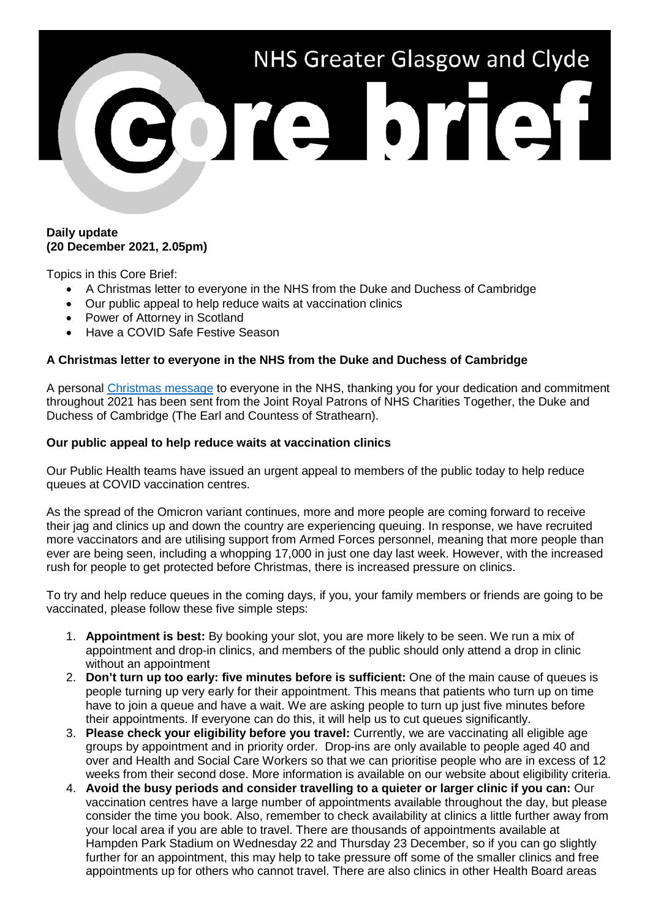

## **Daily update (20 December 2021, 2.05pm)**

Topics in this Core Brief:

- A Christmas letter to everyone in the NHS from the Duke and Duchess of Cambridge
- Our public appeal to help reduce waits at vaccination clinics
- Power of Attorney in Scotland
- Have a COVID Safe Festive Season

# **A Christmas letter to everyone in the NHS from the Duke and Duchess of Cambridge**

A personal [Christmas message](https://www.nhsggc.org.uk/media/270660/a-letter-to-everyone-in-the-nhs-from-the-duke-and-duchess-of-camb_.pdf) to everyone in the NHS, thanking you for your dedication and commitment throughout 2021 has been sent from the Joint Royal Patrons of NHS Charities Together, the Duke and Duchess of Cambridge (The Earl and Countess of Strathearn).

## **Our public appeal to help reduce waits at vaccination clinics**

Our Public Health teams have issued an urgent appeal to members of the public today to help reduce queues at COVID vaccination centres.

As the spread of the Omicron variant continues, more and more people are coming forward to receive their jag and clinics up and down the country are experiencing queuing. In response, we have recruited more vaccinators and are utilising support from Armed Forces personnel, meaning that more people than ever are being seen, including a whopping 17,000 in just one day last week. However, with the increased rush for people to get protected before Christmas, there is increased pressure on clinics.

To try and help reduce queues in the coming days, if you, your family members or friends are going to be vaccinated, please follow these five simple steps:

- 1. **Appointment is best:** By booking your slot, you are more likely to be seen. We run a mix of appointment and drop-in clinics, and members of the public should only attend a drop in clinic without an appointment
- 2. **Don't turn up too early: five minutes before is sufficient:** One of the main cause of queues is people turning up very early for their appointment. This means that patients who turn up on time have to join a queue and have a wait. We are asking people to turn up just five minutes before their appointments. If everyone can do this, it will help us to cut queues significantly.
- 3. **Please check your eligibility before you travel:** Currently, we are vaccinating all eligible age groups by appointment and in priority order. Drop-ins are only available to people aged 40 and over and Health and Social Care Workers so that we can prioritise people who are in excess of 12 weeks from their second dose. More information is available on our website about eligibility criteria.
- 4. **Avoid the busy periods and consider travelling to a quieter or larger clinic if you can:** Our vaccination centres have a large number of appointments available throughout the day, but please consider the time you book. Also, remember to check availability at clinics a little further away from your local area if you are able to travel. There are thousands of appointments available at Hampden Park Stadium on Wednesday 22 and Thursday 23 December, so if you can go slightly further for an appointment, this may help to take pressure off some of the smaller clinics and free appointments up for others who cannot travel. There are also clinics in other Health Board areas